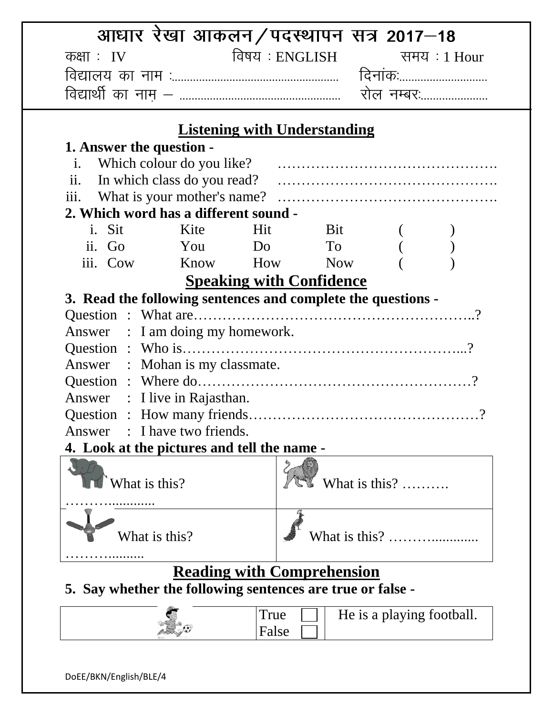|                                                              | आधार रेखा आकलन/पदस्थापन सत्र 2017–18 |                                     |            |                                                   |  |
|--------------------------------------------------------------|--------------------------------------|-------------------------------------|------------|---------------------------------------------------|--|
| कक्षाः $IV$                                                  |                                      | विषय : ENGLISH समय : 1 Hour         |            |                                                   |  |
|                                                              |                                      |                                     |            |                                                   |  |
|                                                              |                                      |                                     |            |                                                   |  |
|                                                              |                                      |                                     |            |                                                   |  |
|                                                              |                                      | <b>Listening with Understanding</b> |            |                                                   |  |
| 1. Answer the question -                                     |                                      |                                     |            |                                                   |  |
| $i$ .                                                        |                                      |                                     |            |                                                   |  |
| ii.                                                          | In which class do you read?          |                                     |            |                                                   |  |
| iii.                                                         |                                      |                                     |            |                                                   |  |
| 2. Which word has a different sound -                        |                                      |                                     |            |                                                   |  |
| i. Sit                                                       | Kite                                 | Hit                                 | Bit        |                                                   |  |
|                                                              | ii. Go You Do To                     |                                     |            |                                                   |  |
| iii. Cow Know How                                            |                                      |                                     | <b>Now</b> |                                                   |  |
|                                                              |                                      | <b>Speaking with Confidence</b>     |            |                                                   |  |
| 3. Read the following sentences and complete the questions - |                                      |                                     |            |                                                   |  |
|                                                              |                                      |                                     |            |                                                   |  |
| Answer : I am doing my homework.                             |                                      |                                     |            |                                                   |  |
|                                                              |                                      |                                     |            |                                                   |  |
| Answer : Mohan is my classmate.                              |                                      |                                     |            |                                                   |  |
|                                                              |                                      |                                     |            |                                                   |  |
| Answer : I live in Rajasthan.                                |                                      |                                     |            |                                                   |  |
|                                                              |                                      |                                     |            |                                                   |  |
| Answer                                                       | : I have two friends.                |                                     |            |                                                   |  |
| 4. Look at the pictures and tell the name -                  |                                      |                                     |            |                                                   |  |
| What is this?                                                |                                      |                                     |            | What is this? $\dots$                             |  |
|                                                              |                                      |                                     |            |                                                   |  |
|                                                              |                                      |                                     |            |                                                   |  |
|                                                              | What is this?                        |                                     |            | What is this? $\ldots$ $\ldots$ $\ldots$ $\ldots$ |  |
|                                                              |                                      |                                     |            |                                                   |  |
|                                                              |                                      | <b>Reading with Comprehension</b>   |            |                                                   |  |
| 5. Say whether the following sentences are true or false -   |                                      |                                     |            |                                                   |  |
|                                                              |                                      | True                                |            | He is a playing football.                         |  |
|                                                              |                                      | False                               |            |                                                   |  |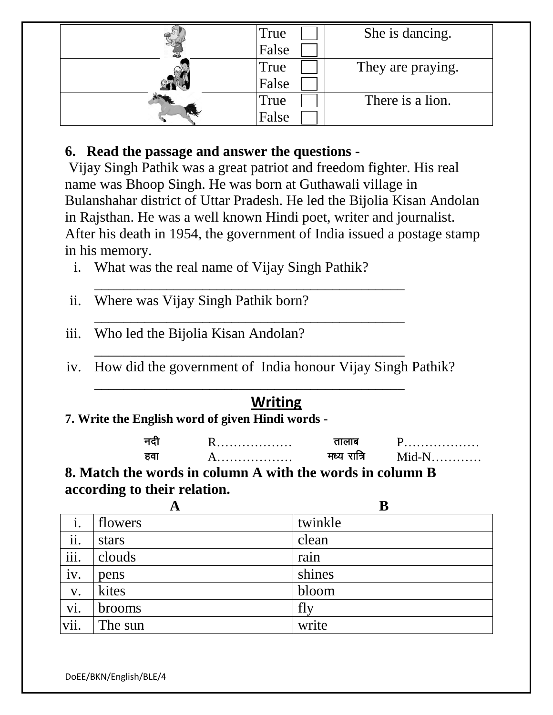|  | True  | She is dancing.   |  |
|--|-------|-------------------|--|
|  | False |                   |  |
|  | True  | They are praying. |  |
|  | False |                   |  |
|  | True  | There is a lion.  |  |
|  | False |                   |  |

## **6. Read the passage and answer the questions -**

Vijay Singh Pathik was a great patriot and freedom fighter. His real name was Bhoop Singh. He was born at Guthawali village in Bulanshahar district of Uttar Pradesh. He led the Bijolia Kisan Andolan in Rajsthan. He was a well known Hindi poet, writer and journalist. After his death in 1954, the government of India issued a postage stamp in his memory.

- i. What was the real name of Vijay Singh Pathik?
- ii. Where was Vijay Singh Pathik born?
- iii. Who led the Bijolia Kisan Andolan?
- iv. How did the government of India honour Vijay Singh Pathik?

\_\_\_\_\_\_\_\_\_\_\_\_\_\_\_\_\_\_\_\_\_\_\_\_\_\_\_\_\_\_\_\_\_\_\_\_\_\_\_\_\_\_\_

\_\_\_\_\_\_\_\_\_\_\_\_\_\_\_\_\_\_\_\_\_\_\_\_\_\_\_\_\_\_\_\_\_\_\_\_\_\_\_\_\_\_\_

\_\_\_\_\_\_\_\_\_\_\_\_\_\_\_\_\_\_\_\_\_\_\_\_\_\_\_\_\_\_\_\_\_\_\_\_\_\_\_\_\_\_\_

\_\_\_\_\_\_\_\_\_\_\_\_\_\_\_\_\_\_\_\_\_\_\_\_\_\_\_\_\_\_\_\_\_\_\_\_\_\_\_\_\_\_\_

# **Writing**

**7. Write the English word of given Hindi words -**

| . | . |
|---|---|
| . | . |

**8. Match the words in column A with the words in column B according to their relation.**

|      | A             | B       |
|------|---------------|---------|
|      | flowers       | twinkle |
| ii.  | stars         | clean   |
| iii. | clouds        | rain    |
| iv.  | pens          | shines  |
| V.   | kites         | bloom   |
| vi.  | <b>brooms</b> | fly     |
| vii. | The sun       | write   |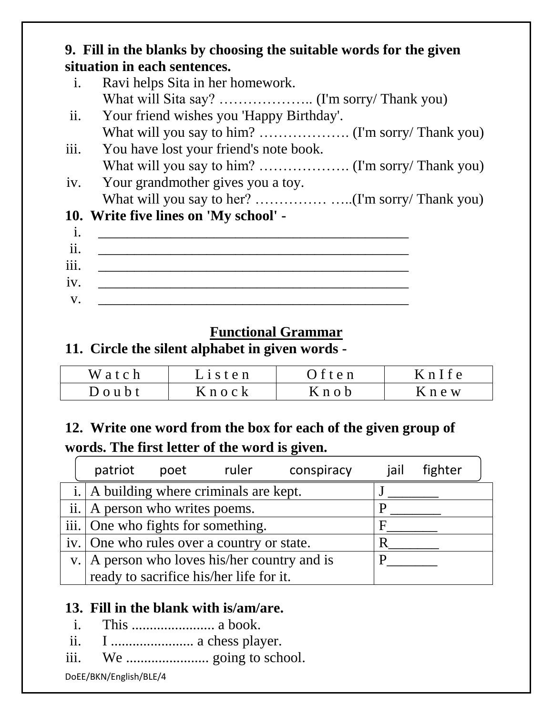## **9. Fill in the blanks by choosing the suitable words for the given situation in each sentences.** i. Ravi helps Sita in her homework. What will Sita say? ………………….. (I'm sorry/ Thank you) ii. Your friend wishes you 'Happy Birthday'. What will you say to him? ………………. (I'm sorry/ Thank you) iii. You have lost your friend's note book. What will you say to him? ………………. (I'm sorry/ Thank you) iv. Your grandmother gives you a toy. What will you say to her? …………………… (I'm sorry/ Thank you) **10. Write five lines on 'My school'**  i. \_\_\_\_\_\_\_\_\_\_\_\_\_\_\_\_\_\_\_\_\_\_\_\_\_\_\_\_\_\_\_\_\_\_\_\_\_\_\_\_\_\_\_ ii. \_\_\_\_\_\_\_\_\_\_\_\_\_\_\_\_\_\_\_\_\_\_\_\_\_\_\_\_\_\_\_\_\_\_\_\_\_\_\_\_\_\_\_ iii. \_\_\_\_\_\_\_\_\_\_\_\_\_\_\_\_\_\_\_\_\_\_\_\_\_\_\_\_\_\_\_\_\_\_\_\_\_\_\_\_\_\_\_  $iv.$

 $V.$ 

### **Functional Grammar**

## **11. Circle the silent alphabet in given words -**

| Watch         | $L$ is ten  | ) f t e n | KnIfe     |
|---------------|-------------|-----------|-----------|
| $D$ o u $b$ t | $K$ n o c k | Knob      | $K$ n e w |

## **12. Write one word from the box for each of the given group of words. The first letter of the word is given.**

| patriot                                | poet |                                                 | ruler conspiracy | jail | fighter |
|----------------------------------------|------|-------------------------------------------------|------------------|------|---------|
|                                        |      | i. $\vert$ A building where criminals are kept. |                  |      |         |
| ii. $\vert$ A person who writes poems. |      |                                                 |                  |      |         |
| iii. One who fights for something.     |      |                                                 |                  |      |         |
|                                        |      | iv. One who rules over a country or state.      |                  |      |         |
|                                        |      | v.   A person who loves his/her country and is  |                  |      |         |
|                                        |      | ready to sacrifice his/her life for it.         |                  |      |         |

### **13. Fill in the blank with is/am/are.**

- i. This ....................... a book.
- ii. I ....................... a chess player.
- iii. We ....................... going to school.

DoEE/BKN/English/BLE/4